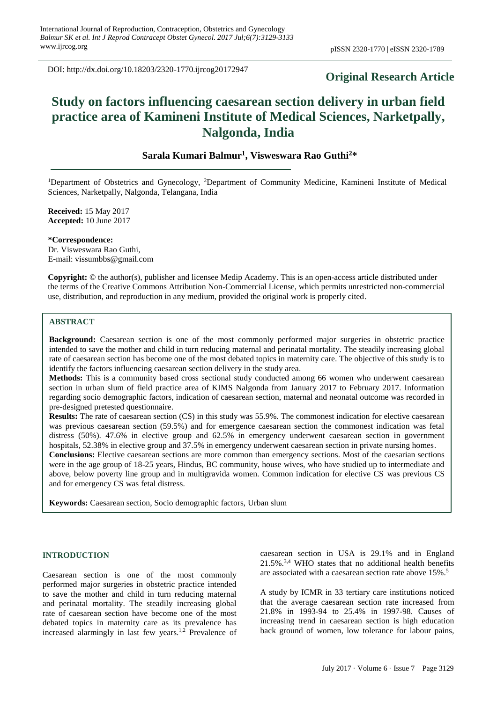DOI: http://dx.doi.org/10.18203/2320-1770.ijrcog20172947

# **Original Research Article**

# **Study on factors influencing caesarean section delivery in urban field practice area of Kamineni Institute of Medical Sciences, Narketpally, Nalgonda, India**

# **Sarala Kumari Balmur<sup>1</sup> , Visweswara Rao Guthi<sup>2</sup>\***

<sup>1</sup>Department of Obstetrics and Gynecology, <sup>2</sup>Department of Community Medicine, Kamineni Institute of Medical Sciences, Narketpally, Nalgonda, Telangana, India

**Received:** 15 May 2017 **Accepted:** 10 June 2017

**\*Correspondence:** Dr. Visweswara Rao Guthi, E-mail: vissumbbs@gmail.com

**Copyright:** © the author(s), publisher and licensee Medip Academy. This is an open-access article distributed under the terms of the Creative Commons Attribution Non-Commercial License, which permits unrestricted non-commercial use, distribution, and reproduction in any medium, provided the original work is properly cited.

## **ABSTRACT**

**Background:** Caesarean section is one of the most commonly performed major surgeries in obstetric practice intended to save the mother and child in turn reducing maternal and perinatal mortality. The steadily increasing global rate of caesarean section has become one of the most debated topics in maternity care. The objective of this study is to identify the factors influencing caesarean section delivery in the study area.

**Methods:** This is a community based cross sectional study conducted among 66 women who underwent caesarean section in urban slum of field practice area of KIMS Nalgonda from January 2017 to February 2017. Information regarding socio demographic factors, indication of caesarean section, maternal and neonatal outcome was recorded in pre-designed pretested questionnaire.

**Results:** The rate of caesarean section (CS) in this study was 55.9%. The commonest indication for elective caesarean was previous caesarean section (59.5%) and for emergence caesarean section the commonest indication was fetal distress (50%). 47.6% in elective group and 62.5% in emergency underwent caesarean section in government hospitals, 52.38% in elective group and 37.5% in emergency underwent caesarean section in private nursing homes.

**Conclusions:** Elective caesarean sections are more common than emergency sections. Most of the caesarian sections were in the age group of 18-25 years, Hindus, BC community, house wives, who have studied up to intermediate and above, below poverty line group and in multigravida women. Common indication for elective CS was previous CS and for emergency CS was fetal distress.

**Keywords:** Caesarean section, Socio demographic factors, Urban slum

# **INTRODUCTION**

Caesarean section is one of the most commonly performed major surgeries in obstetric practice intended to save the mother and child in turn reducing maternal and perinatal mortality. The steadily increasing global rate of caesarean section have become one of the most debated topics in maternity care as its prevalence has increased alarmingly in last few years.<sup>1,2</sup> Prevalence of caesarean section in USA is 29.1% and in England  $21.5\%$ <sup>3,4</sup> WHO states that no additional health benefits are associated with a caesarean section rate above 15%.<sup>5</sup>

A study by ICMR in 33 tertiary care institutions noticed that the average caesarean section rate increased from 21.8% in 1993-94 to 25.4% in 1997-98. Causes of increasing trend in caesarean section is high education back ground of women, low tolerance for labour pains,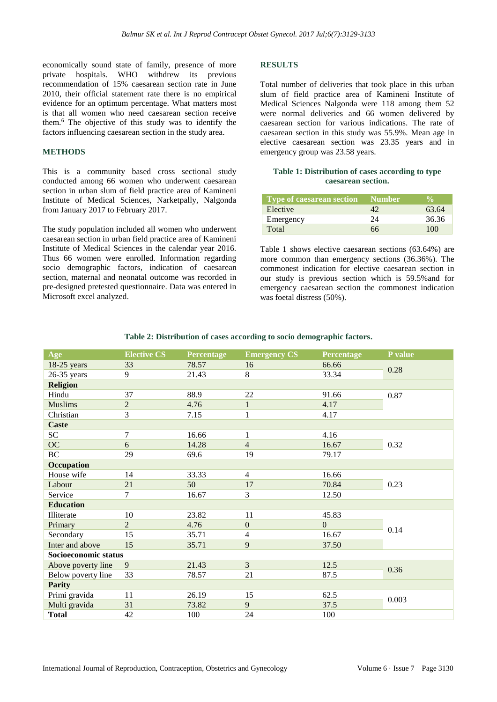economically sound state of family, presence of more private hospitals. WHO withdrew its previous recommendation of 15% caesarean section rate in June 2010, their official statement rate there is no empirical evidence for an optimum percentage. What matters most is that all women who need caesarean section receive them.<sup>6</sup> The objective of this study was to identify the factors influencing caesarean section in the study area.

#### **METHODS**

This is a community based cross sectional study conducted among 66 women who underwent caesarean section in urban slum of field practice area of Kamineni Institute of Medical Sciences, Narketpally, Nalgonda from January 2017 to February 2017.

The study population included all women who underwent caesarean section in urban field practice area of Kamineni Institute of Medical Sciences in the calendar year 2016. Thus 66 women were enrolled. Information regarding socio demographic factors, indication of caesarean section, maternal and neonatal outcome was recorded in pre-designed pretested questionnaire. Data was entered in Microsoft excel analyzed.

#### **RESULTS**

Total number of deliveries that took place in this urban slum of field practice area of Kamineni Institute of Medical Sciences Nalgonda were 118 among them 52 were normal deliveries and 66 women delivered by caesarean section for various indications. The rate of caesarean section in this study was 55.9%. Mean age in elective caesarean section was 23.35 years and in emergency group was 23.58 years.

#### **Table 1: Distribution of cases according to type caesarean section.**

| Type of caesarean section | <b>Number</b> |       |
|---------------------------|---------------|-------|
| Elective                  |               | 63.64 |
| Emergency                 | 24            | 36.36 |
| Total                     | 66            | 100   |

Table 1 shows elective caesarean sections (63.64%) are more common than emergency sections (36.36%). The commonest indication for elective caesarean section in our study is previous section which is 59.5%and for emergency caesarean section the commonest indication was foetal distress (50%).

| Age                  | <b>Elective CS</b> | <b>Percentage</b> | <b>Emergency CS</b> | <b>Percentage</b> | P value |  |
|----------------------|--------------------|-------------------|---------------------|-------------------|---------|--|
| $18-25$ years        | 33                 | 78.57             | 16                  | 66.66             | 0.28    |  |
| $26-35$ years        | 9                  | 21.43             | 8                   | 33.34             |         |  |
| <b>Religion</b>      |                    |                   |                     |                   |         |  |
| Hindu                | 37                 | 88.9              | 22                  | 91.66             | 0.87    |  |
| <b>Muslims</b>       | $\overline{2}$     | 4.76              | $\mathbf{1}$        | 4.17              |         |  |
| Christian            | 3                  | 7.15              | 1                   | 4.17              |         |  |
| <b>Caste</b>         |                    |                   |                     |                   |         |  |
| SC <sub>1</sub>      | 7                  | 16.66             | 1                   | 4.16              |         |  |
| OC                   | 6                  | 14.28             | $\overline{4}$      | 16.67             | 0.32    |  |
| <b>BC</b>            | 29                 | 69.6              | 19                  | 79.17             |         |  |
| Occupation           |                    |                   |                     |                   |         |  |
| House wife           | 14                 | 33.33             | $\overline{4}$      | 16.66             |         |  |
| Labour               | 21                 | 50                | 17                  | 70.84             | 0.23    |  |
| Service              | $\tau$             | 16.67             | 3                   | 12.50             |         |  |
| <b>Education</b>     |                    |                   |                     |                   |         |  |
| Illiterate           | 10                 | 23.82             | 11                  | 45.83             |         |  |
| Primary              | $\mathfrak{D}$     | 4.76              | $\overline{0}$      | $\overline{0}$    |         |  |
| Secondary            | 15                 | 35.71             | 4                   | 16.67             | 0.14    |  |
| Inter and above      | 15                 | 35.71             | 9                   | 37.50             |         |  |
| Socioeconomic status |                    |                   |                     |                   |         |  |
| Above poverty line   | 9                  | 21.43             | $\overline{3}$      | 12.5              |         |  |
| Below poverty line   | 33                 | 78.57             | 21                  | 87.5              | 0.36    |  |
| <b>Parity</b>        |                    |                   |                     |                   |         |  |
| Primi gravida        | 11                 | 26.19             | 15                  | 62.5              | 0.003   |  |
| Multi gravida        | 31                 | 73.82             | 9                   | 37.5              |         |  |
| <b>Total</b>         | 42                 | 100               | 24                  | 100               |         |  |

#### **Table 2: Distribution of cases according to socio demographic factors.**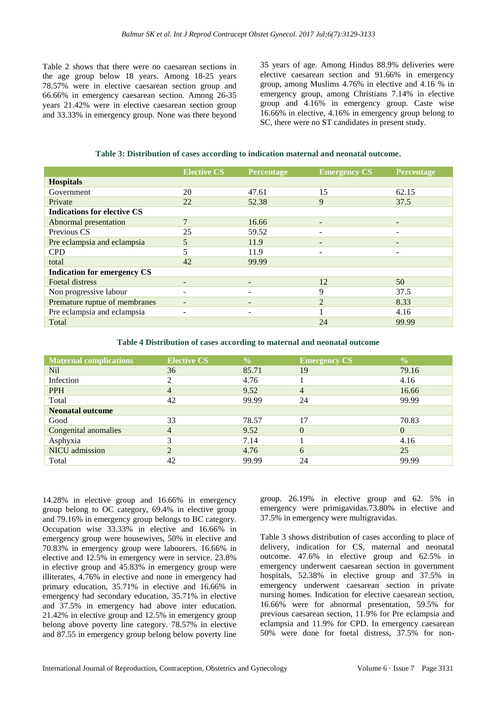Table 2 shows that there were no caesarean sections in the age group below 18 years. Among 18-25 years 78.57% were in elective caesarean section group and 66.66% in emergency caesarean section. Among 26-35 years 21.42% were in elective caesarean section group and 33.33% in emergency group. None was there beyond 35 years of age. Among Hindus 88.9% deliveries were elective caesarean section and 91.66% in emergency group, among Muslims 4.76% in elective and 4.16 % in emergency group, among Christians 7.14% in elective group and 4.16% in emergency group. Caste wise 16.66% in elective, 4.16% in emergency group belong to SC, there were no ST candidates in present study.

**Table 3: Distribution of cases according to indication maternal and neonatal outcome.**

|                                    | <b>Elective CS</b>       | Percentage               | <b>Emergency CS</b>      | <b>Percentage</b> |
|------------------------------------|--------------------------|--------------------------|--------------------------|-------------------|
| <b>Hospitals</b>                   |                          |                          |                          |                   |
| Government                         | 20                       | 47.61                    | 15                       | 62.15             |
| Private                            | 22                       | 52.38                    | 9                        | 37.5              |
| <b>Indications for elective CS</b> |                          |                          |                          |                   |
| Abnormal presentation              | $\overline{7}$           | 16.66                    | $\overline{\phantom{0}}$ | $\qquad \qquad$   |
| Previous CS                        | 25                       | 59.52                    | ۰                        |                   |
| Pre eclampsia and eclampsia        | 5                        | 11.9                     | -                        |                   |
| <b>CPD</b>                         | 5                        | 11.9                     | ۰                        |                   |
| total                              | 42                       | 99.99                    |                          |                   |
| <b>Indication for emergency CS</b> |                          |                          |                          |                   |
| Foetal distress                    | -                        | -                        | 12                       | 50                |
| Non progressive labour             |                          | ۰                        | 9                        | 37.5              |
| Premature ruptue of membranes      | $\overline{\phantom{0}}$ | $\overline{\phantom{0}}$ | $\overline{2}$           | 8.33              |
| Pre eclampsia and eclampsia        |                          | ۰                        |                          | 4.16              |
| Total                              |                          |                          | 24                       | 99.99             |

**Table 4 Distribution of cases according to maternal and neonatal outcome**

| <b>Maternal complications</b> | <b>Elective CS</b> | $\frac{0}{0}$ | <b>Emergency CS</b> | $\frac{0}{0}$  |  |  |
|-------------------------------|--------------------|---------------|---------------------|----------------|--|--|
| Nil                           | 36                 | 85.71         | 19                  | 79.16          |  |  |
| Infection                     | ↑                  | 4.76          |                     | 4.16           |  |  |
| <b>PPH</b>                    | $\overline{4}$     | 9.52          | $\overline{4}$      | 16.66          |  |  |
| Total                         | 42                 | 99.99         | 24                  | 99.99          |  |  |
| <b>Neonatal outcome</b>       |                    |               |                     |                |  |  |
| Good                          | 33                 | 78.57         | 17                  | 70.83          |  |  |
| Congenital anomalies          | $\overline{4}$     | 9.52          | $\theta$            | $\overline{0}$ |  |  |
| Asphyxia                      | 3                  | 7.14          |                     | 4.16           |  |  |
| NICU admission                | $\overline{c}$     | 4.76          | 6                   | 25             |  |  |
| Total                         | 42                 | 99.99         | 24                  | 99.99          |  |  |

14.28% in elective group and 16.66% in emergency group belong to OC category, 69.4% in elective group and 79.16% in emergency group belongs to BC category. Occupation wise 33.33% in elective and 16.66% in emergency group were housewives, 50% in elective and 70.83% in emergency group were labourers. 16.66% in elective and 12.5% in emergency were in service. 23.8% in elective group and 45.83% in emergency group were illiterates, 4.76% in elective and none in emergency had primary education, 35.71% in elective and 16.66% in emergency had secondary education, 35.71% in elective and 37.5% in emergency had above inter education. 21.42% in elective group and 12.5% in emergency group belong above poverty line category. 78.57% in elective and 87.55 in emergency group belong below poverty line group. 26.19% in elective group and 62. 5% in emergency were primigavidas.73.80% in elective and 37.5% in emergency were multigravidas.

Table 3 shows distribution of cases according to place of delivery, indication for CS, maternal and neonatal outcome. 47.6% in elective group and 62.5% in emergency underwent caesarean section in government hospitals, 52.38% in elective group and 37.5% in emergency underwent caesarean section in private nursing homes. Indication for elective caesarean section, 16.66% were for abnormal presentation, 59.5% for previous caesarean section, 11.9% for Pre eclampsia and eclampsia and 11.9% for CPD. In emergency caesarean 50% were done for foetal distress, 37.5% for non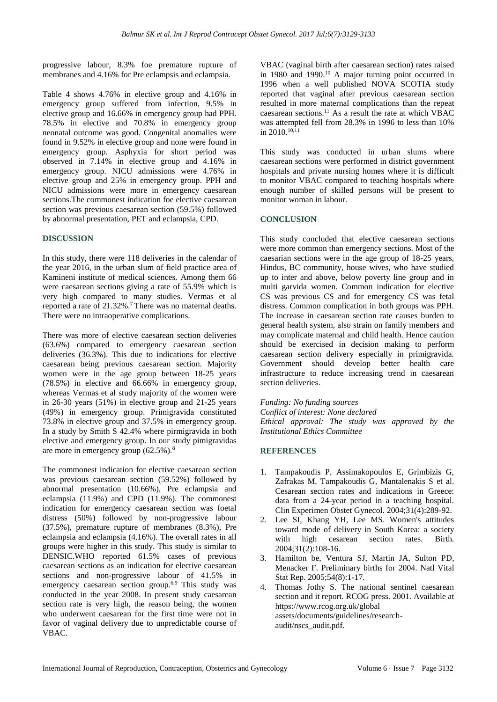progressive labour, 8.3% foe premature rupture of membranes and 4.16% for Pre eclampsis and eclampsia.

Table 4 shows 4.76% in elective group and 4.16% in emergency group suffered from infection, 9.5% in elective group and 16.66% in emergency group had PPH. 78.5% in elective and 70.8% in emergency group neonatal outcome was good. Congenital anomalies were found in 9.52% in elective group and none were found in emergency group. Asphyxia for short period was observed in 7.14% in elective group and 4.16% in emergency group. NICU admissions were 4.76% in elective group and 25% in emergency group. PPH and NICU admissions were more in emergency caesarean sections.The commonest indication foe elective caesarean section was previous caesarean section (59.5%) followed by abnormal presentation, PET and eclampsia, CPD.

## **DISCUSSION**

In this study, there were 118 deliveries in the calendar of the year 2016, in the urban slum of field practice area of Kamineni institute of medical sciences. Among them 66 were caesarean sections giving a rate of 55.9% which is very high compared to many studies. Vermas et al reported a rate of 21.32%.<sup>7</sup> There was no maternal deaths. There were no intraoperative complications.

There was more of elective caesarean section deliveries (63.6%) compared to emergency caesarean section deliveries (36.3%). This due to indications for elective caesarean being previous caesarean section. Majority women were in the age group between 18-25 years (78.5%) in elective and 66.66% in emergency group, whereas Vermas et al study majority of the women were in 26-30 years (51%) in elective group and 21-25 years (49%) in emergency group. Primigravida constituted 73.8% in elective group and 37.5% in emergency group. In a study by Smith S 42.4% where pirmigravida in both elective and emergency group. In our study pimigravidas are more in emergency group (62.5%).<sup>8</sup>

The commonest indication for elective caesarean section was previous caesarean section (59.52%) followed by abnormal presentation (10.66%), Pre eclampsia and eclampsia (11.9%) and CPD (11.9%). The commonest indication for emergency caesarean section was foetal distress (50%) followed by non-progressive labour (37.5%), premature rupture of membranes (8.3%), Pre eclampsia and eclampsia (4.16%). The overall rates in all groups were higher in this study. This study is similar to DENSIC.WHO reported 61.5% cases of previous caesarean sections as an indication for elective caesarean sections and non-progressive labour of 41.5% in emergency caesarean section group.<sup>6,9</sup> This study was conducted in the year 2008. In present study caesarean section rate is very high, the reason being, the women who underwent caesarean for the first time were not in favor of vaginal delivery due to unpredictable course of VBAC.

VBAC (vaginal birth after caesarean section) rates raised in 1980 and 1990.<sup>10</sup> A major turning point occurred in 1996 when a well published NOVA SCOTIA study reported that vaginal after previous caesarean section resulted in more maternal complications than the repeat caesarean sections.<sup>11</sup> As a result the rate at which VBAC was attempted fell from 28.3% in 1996 to less than 10% in  $2010$ ,  $^{10,11}$ 

This study was conducted in urban slums where caesarean sections were performed in district government hospitals and private nursing homes where it is difficult to monitor VBAC compared to teaching hospitals where enough number of skilled persons will be present to monitor woman in labour.

## **CONCLUSION**

This study concluded that elective caesarean sections were more common than emergency sections. Most of the caesarian sections were in the age group of 18-25 years, Hindus, BC community, house wives, who have studied up to inter and above, below poverty line group and in multi garvida women. Common indication for elective CS was previous CS and for emergency CS was fetal distress. Common complication in both groups was PPH. The increase in caesarean section rate causes burden to general health system, also strain on family members and may complicate maternal and child health. Hence caution should be exercised in decision making to perform caesarean section delivery especially in primigravida. Government should develop better health care infrastructure to reduce increasing trend in caesarean section deliveries.

*Funding: No funding sources Conflict of interest: None declared Ethical approval: The study was approved by the Institutional Ethics Committee*

#### **REFERENCES**

- 1. Tampakoudis P, Assimakopoulos E, Grimbizis G, Zafrakas M, Tampakoudis G, Mantalenakis S et al. Cesarean section rates and indications in Greece: data from a 24-year period in a teaching hospital. Clin Experimen Obstet Gynecol. 2004;31(4):289-92.
- 2. Lee SI, Khang YH, Lee MS. Women's attitudes toward mode of delivery in South Korea: a society with high cesarean section rates. Birth. 2004;31(2):108-16.
- 3. Hamilton be, Ventura SJ, Martin JA, Sulton PD, Menacker F. Preliminary births for 2004. Natl Vital Stat Rep. 2005;54(8):1-17.
- 4. Thomas Jothy S. The national sentinel caesarean section and it report. RCOG press. 2001. Available at https://www.rcog.org.uk/global assets/documents/guidelines/researchaudit/nscs\_audit.pdf.